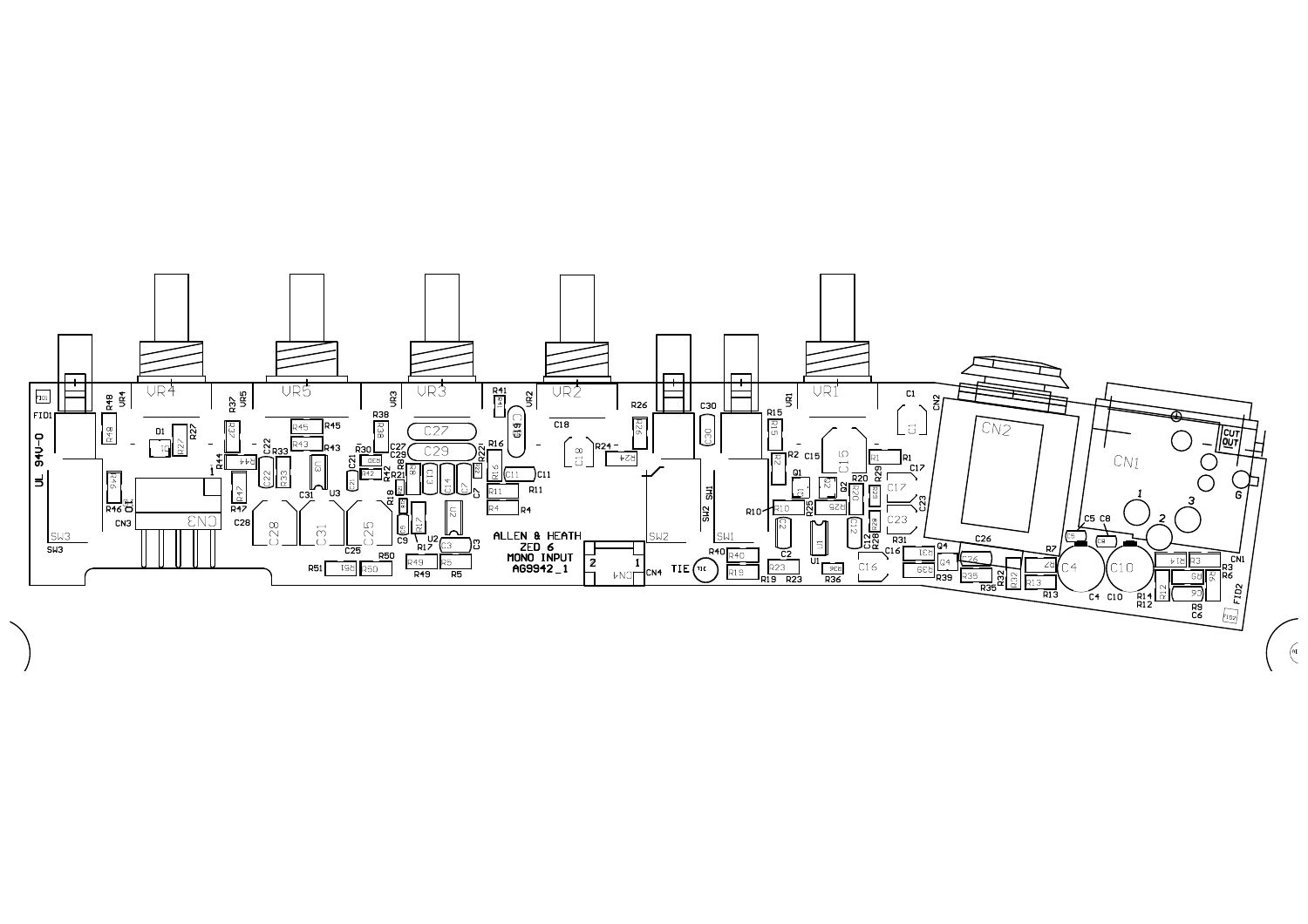

 $\left(\begin{matrix} \mathbf{e} \\ \mathbf{e} \end{matrix}\right)$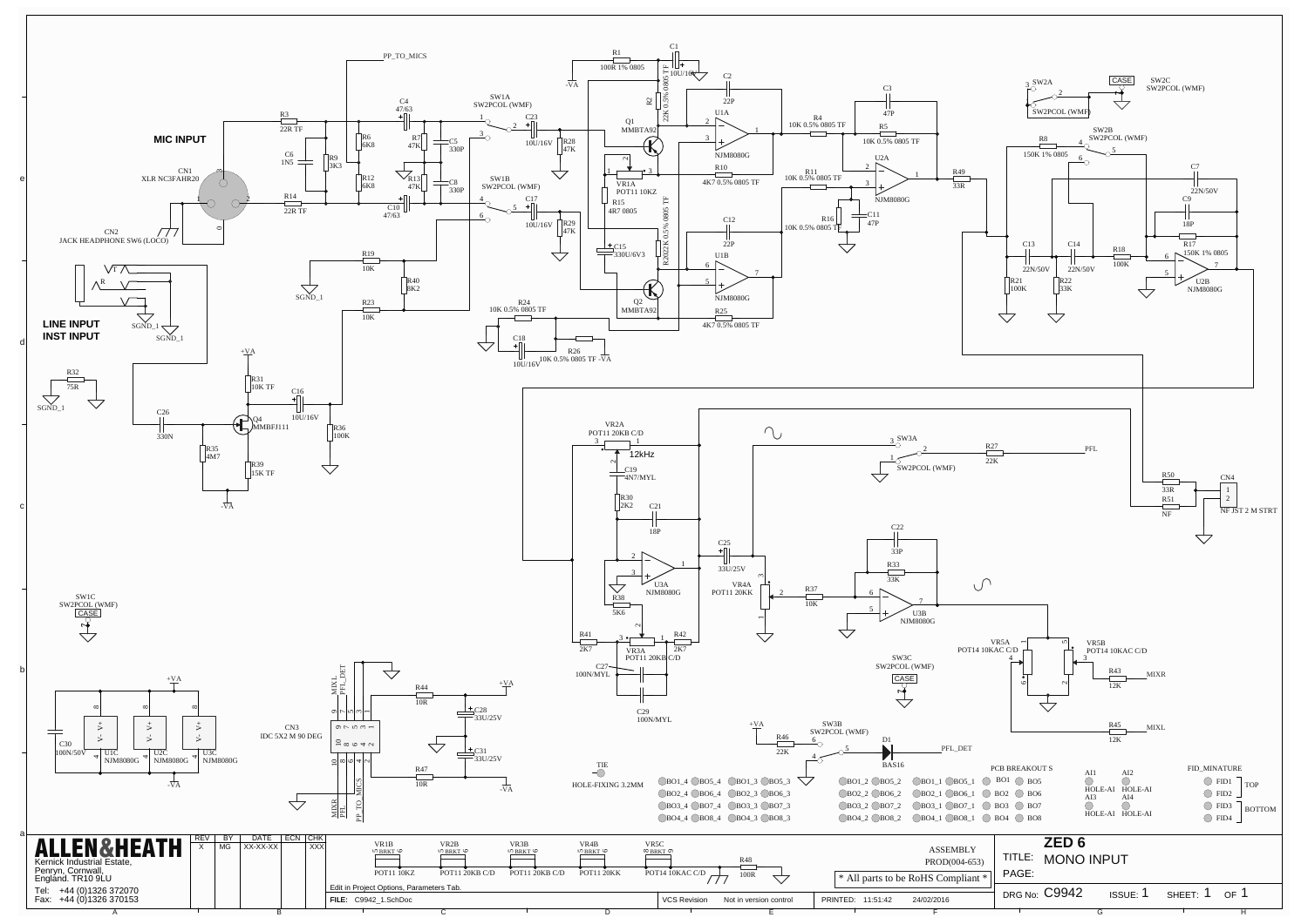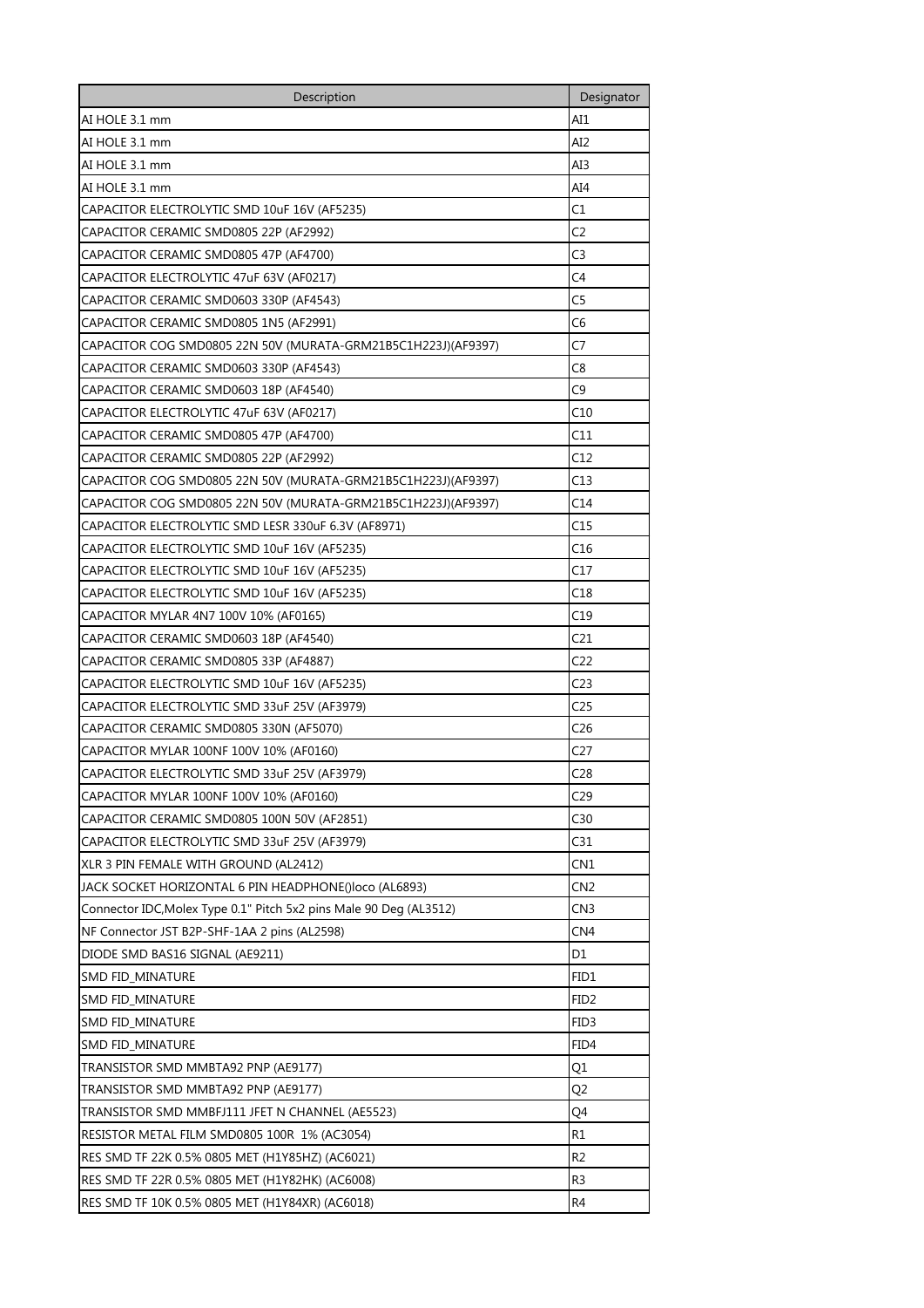| Description                                                        | Designator       |
|--------------------------------------------------------------------|------------------|
| AI HOLE 3.1 mm                                                     | AI1              |
| AI HOLE 3.1 mm                                                     | AI2              |
| AI HOLE 3.1 mm                                                     | AI3              |
| AI HOLE 3.1 mm                                                     | AI4              |
| CAPACITOR ELECTROLYTIC SMD 10uF 16V (AF5235)                       | C1               |
| CAPACITOR CERAMIC SMD0805 22P (AF2992)                             | C2               |
| CAPACITOR CERAMIC SMD0805 47P (AF4700)                             | C <sub>3</sub>   |
| CAPACITOR ELECTROLYTIC 47uF 63V (AF0217)                           | C4               |
| CAPACITOR CERAMIC SMD0603 330P (AF4543)                            | C5               |
| CAPACITOR CERAMIC SMD0805 1N5 (AF2991)                             | C6               |
| CAPACITOR COG SMD0805 22N 50V (MURATA-GRM21B5C1H223J)(AF9397)      | C7               |
| CAPACITOR CERAMIC SMD0603 330P (AF4543)                            | C8               |
| CAPACITOR CERAMIC SMD0603 18P (AF4540)                             | C9               |
| CAPACITOR ELECTROLYTIC 47uF 63V (AF0217)                           | C10              |
| CAPACITOR CERAMIC SMD0805 47P (AF4700)                             | C11              |
| CAPACITOR CERAMIC SMD0805 22P (AF2992)                             | C12              |
| CAPACITOR COG SMD0805 22N 50V (MURATA-GRM21B5C1H223J)(AF9397)      | C13              |
| CAPACITOR COG SMD0805 22N 50V (MURATA-GRM21B5C1H223J)(AF9397)      | C14              |
| CAPACITOR ELECTROLYTIC SMD LESR 330uF 6.3V (AF8971)                | C15              |
| CAPACITOR ELECTROLYTIC SMD 10uF 16V (AF5235)                       | C16              |
| CAPACITOR ELECTROLYTIC SMD 10uF 16V (AF5235)                       | C17              |
| CAPACITOR ELECTROLYTIC SMD 10uF 16V (AF5235)                       | C18              |
| CAPACITOR MYLAR 4N7 100V 10% (AF0165)                              | C19              |
| CAPACITOR CERAMIC SMD0603 18P (AF4540)                             | C21              |
| CAPACITOR CERAMIC SMD0805 33P (AF4887)                             | C22              |
| CAPACITOR ELECTROLYTIC SMD 10uF 16V (AF5235)                       | C23              |
| CAPACITOR ELECTROLYTIC SMD 33uF 25V (AF3979)                       | C25              |
| CAPACITOR CERAMIC SMD0805 330N (AF5070)                            | C26              |
| CAPACITOR MYLAR 100NF 100V 10% (AF0160)                            | C27              |
| CAPACITOR ELECTROLYTIC SMD 33uF 25V (AF3979)                       | C <sub>28</sub>  |
| CAPACITOR MYLAR 100NF 100V 10% (AF0160)                            | C <sub>29</sub>  |
| CAPACITOR CERAMIC SMD0805 100N 50V (AF2851)                        | C30              |
| CAPACITOR ELECTROLYTIC SMD 33uF 25V (AF3979)                       | C31              |
| XLR 3 PIN FEMALE WITH GROUND (AL2412)                              | CN1              |
| JACK SOCKET HORIZONTAL 6 PIN HEADPHONE()loco (AL6893)              | CN2              |
| Connector IDC, Molex Type 0.1" Pitch 5x2 pins Male 90 Deg (AL3512) | CN <sub>3</sub>  |
| NF Connector JST B2P-SHF-1AA 2 pins (AL2598)                       | CN <sub>4</sub>  |
| DIODE SMD BAS16 SIGNAL (AE9211)                                    | D1               |
| SMD FID_MINATURE                                                   | FID1             |
| SMD FID_MINATURE                                                   | FID <sub>2</sub> |
| SMD FID_MINATURE                                                   | FID3             |
| SMD FID_MINATURE                                                   | FID4             |
| TRANSISTOR SMD MMBTA92 PNP (AE9177)                                | Q1               |
| TRANSISTOR SMD MMBTA92 PNP (AE9177)                                | Q2               |
| TRANSISTOR SMD MMBFJ111 JFET N CHANNEL (AE5523)                    | Q4               |
| RESISTOR METAL FILM SMD0805 100R 1% (AC3054)                       | R1               |
| RES SMD TF 22K 0.5% 0805 MET (H1Y85HZ) (AC6021)                    | R <sub>2</sub>   |
| RES SMD TF 22R 0.5% 0805 MET (H1Y82HK) (AC6008)                    | R3               |
| RES SMD TF 10K 0.5% 0805 MET (H1Y84XR) (AC6018)                    | R4               |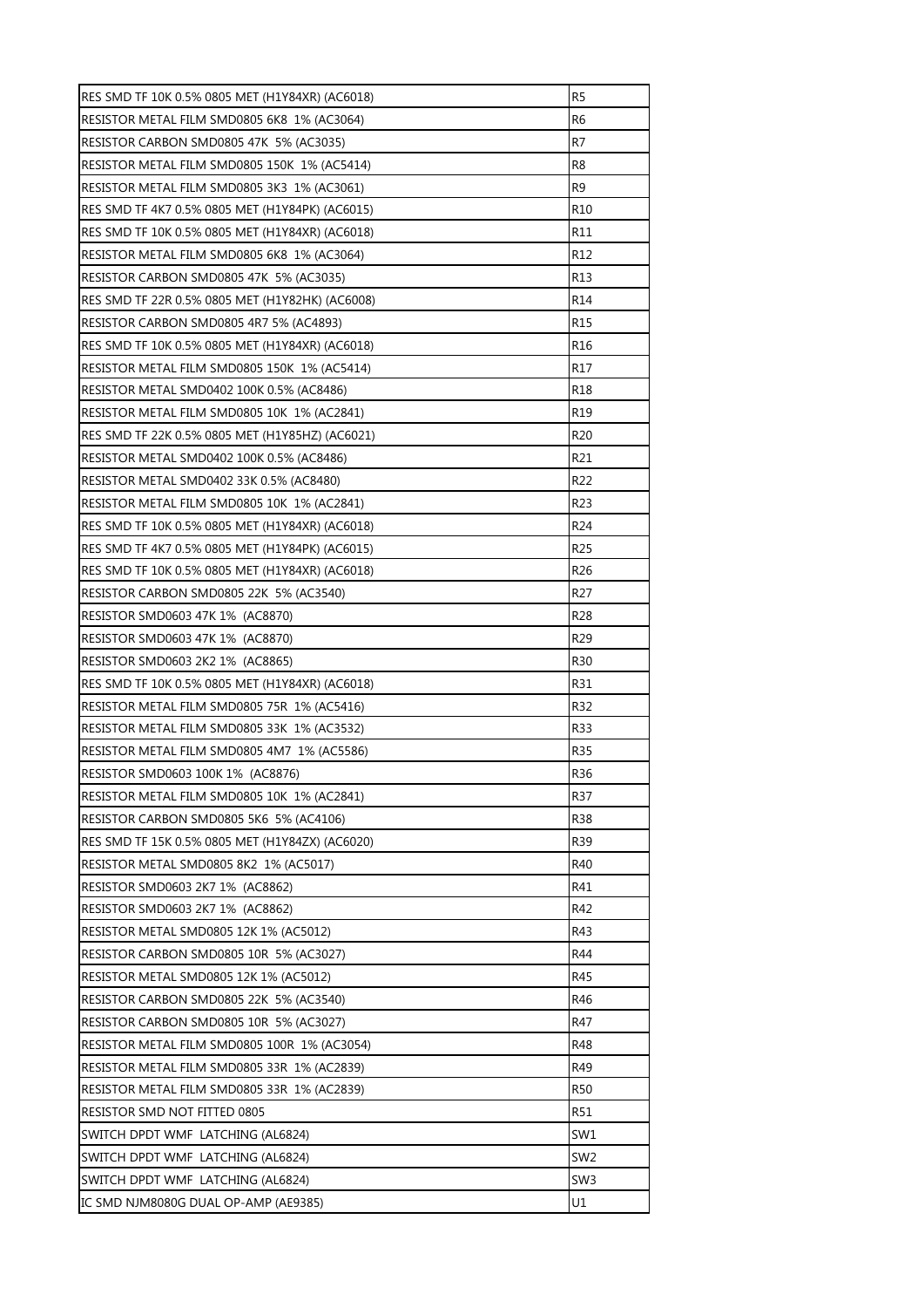| RES SMD TF 10K 0.5% 0805 MET (H1Y84XR) (AC6018) | R5              |
|-------------------------------------------------|-----------------|
| RESISTOR METAL FILM SMD0805 6K8 1% (AC3064)     | R6              |
| RESISTOR CARBON SMD0805 47K 5% (AC3035)         | R7              |
| RESISTOR METAL FILM SMD0805 150K 1% (AC5414)    | R8              |
| RESISTOR METAL FILM SMD0805 3K3 1% (AC3061)     | R <sub>9</sub>  |
| RES SMD TF 4K7 0.5% 0805 MET (H1Y84PK) (AC6015) | R10             |
| RES SMD TF 10K 0.5% 0805 MET (H1Y84XR) (AC6018) | R11             |
| RESISTOR METAL FILM SMD0805 6K8 1% (AC3064)     | R <sub>12</sub> |
| RESISTOR CARBON SMD0805 47K 5% (AC3035)         | R13             |
| RES SMD TF 22R 0.5% 0805 MET (H1Y82HK) (AC6008) | R14             |
| RESISTOR CARBON SMD0805 4R7 5% (AC4893)         | R15             |
| RES SMD TF 10K 0.5% 0805 MET (H1Y84XR) (AC6018) | R <sub>16</sub> |
| RESISTOR METAL FILM SMD0805 150K 1% (AC5414)    | R17             |
| RESISTOR METAL SMD0402 100K 0.5% (AC8486)       | R18             |
| RESISTOR METAL FILM SMD0805 10K 1% (AC2841)     | R19             |
| RES SMD TF 22K 0.5% 0805 MET (H1Y85HZ) (AC6021) | R <sub>20</sub> |
| RESISTOR METAL SMD0402 100K 0.5% (AC8486)       | R21             |
| RESISTOR METAL SMD0402 33K 0.5% (AC8480)        | R <sub>22</sub> |
| RESISTOR METAL FILM SMD0805 10K 1% (AC2841)     | R23             |
| RES SMD TF 10K 0.5% 0805 MET (H1Y84XR) (AC6018) | R24             |
| RES SMD TF 4K7 0.5% 0805 MET (H1Y84PK) (AC6015) | R25             |
| RES SMD TF 10K 0.5% 0805 MET (H1Y84XR) (AC6018) | R26             |
| RESISTOR CARBON SMD0805 22K 5% (AC3540)         | R27             |
| RESISTOR SMD0603 47K 1% (AC8870)                | R28             |
| RESISTOR SMD0603 47K 1% (AC8870)                | R <sub>29</sub> |
| RESISTOR SMD0603 2K2 1% (AC8865)                | R30             |
| RES SMD TF 10K 0.5% 0805 MET (H1Y84XR) (AC6018) | R31             |
| RESISTOR METAL FILM SMD0805 75R 1% (AC5416)     | R32             |
| RESISTOR METAL FILM SMD0805 33K 1% (AC3532)     | R33             |
| RESISTOR METAL FILM SMD0805 4M7 1% (AC5586)     | R35             |
| RESISTOR SMD0603 100K 1% (AC8876)               | R <sub>36</sub> |
| RESISTOR METAL FILM SMD0805 10K 1% (AC2841)     | R37             |
| RESISTOR CARBON SMD0805 5K6 5% (AC4106)         | R38             |
| RES SMD TF 15K 0.5% 0805 MET (H1Y84ZX) (AC6020) | R39             |
| RESISTOR METAL SMD0805 8K2 1% (AC5017)          | R40             |
| RESISTOR SMD0603 2K7 1% (AC8862)                | R41             |
| RESISTOR SMD0603 2K7 1% (AC8862)                | R42             |
| RESISTOR METAL SMD0805 12K 1% (AC5012)          | R43             |
| RESISTOR CARBON SMD0805 10R 5% (AC3027)         | R44             |
| RESISTOR METAL SMD0805 12K 1% (AC5012)          | R45             |
| RESISTOR CARBON SMD0805 22K 5% (AC3540)         | R46             |
| RESISTOR CARBON SMD0805 10R 5% (AC3027)         | R47             |
| RESISTOR METAL FILM SMD0805 100R 1% (AC3054)    | R48             |
| RESISTOR METAL FILM SMD0805 33R 1% (AC2839)     | R49             |
| RESISTOR METAL FILM SMD0805 33R 1% (AC2839)     | R <sub>50</sub> |
| RESISTOR SMD NOT FITTED 0805                    | R51             |
| SWITCH DPDT WMF LATCHING (AL6824)               | SW1             |
| SWITCH DPDT WMF LATCHING (AL6824)               | SW <sub>2</sub> |
| SWITCH DPDT WMF LATCHING (AL6824)               | SW <sub>3</sub> |
| IC SMD NJM8080G DUAL OP-AMP (AE9385)            | U1              |